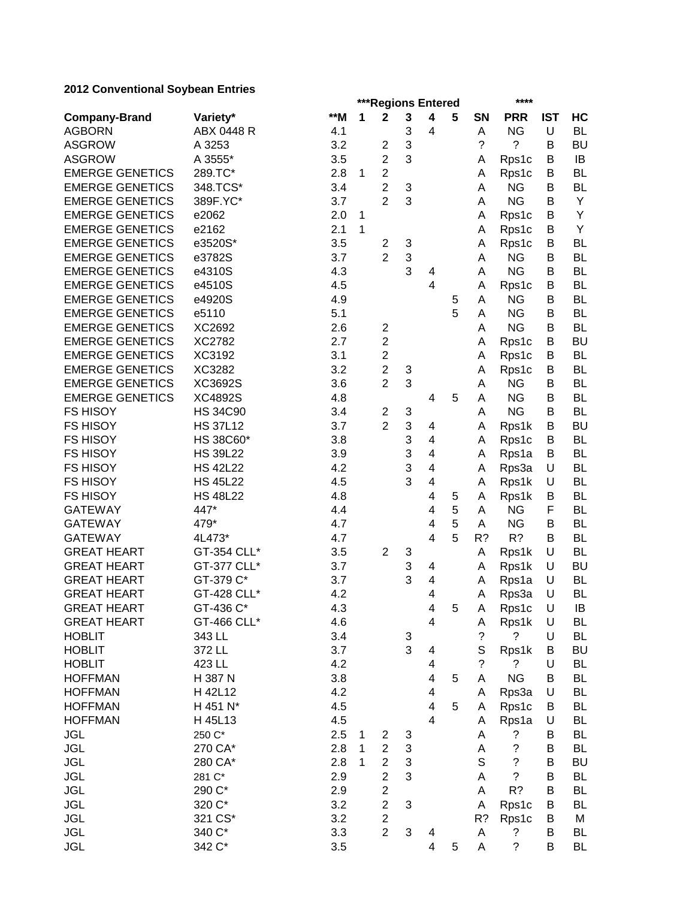# **2012 Conventional Soybean Entries**

|                        |                 |       |   | ***Regions Entered      |   |                          |   | ****        |             |            |           |  |
|------------------------|-----------------|-------|---|-------------------------|---|--------------------------|---|-------------|-------------|------------|-----------|--|
| <b>Company-Brand</b>   | Variety*        | $**M$ | 1 | $\mathbf 2$             | 3 | 4                        | 5 | <b>SN</b>   | <b>PRR</b>  | <b>IST</b> | HC        |  |
| <b>AGBORN</b>          | ABX 0448 R      | 4.1   |   |                         | 3 | 4                        |   | A           | <b>NG</b>   | U          | <b>BL</b> |  |
| <b>ASGROW</b>          | A 3253          | 3.2   |   | 2                       | 3 |                          |   | ?           | ?           | В          | <b>BU</b> |  |
| <b>ASGROW</b>          | A 3555*         | 3.5   |   | $\overline{2}$          | 3 |                          |   | Α           | Rps1c       | B          | IB        |  |
| <b>EMERGE GENETICS</b> | 289.TC*         | 2.8   | 1 | $\overline{\mathbf{c}}$ |   |                          |   | A           | Rps1c       | B          | <b>BL</b> |  |
| <b>EMERGE GENETICS</b> | 348.TCS*        | 3.4   |   | $\overline{2}$          | 3 |                          |   | A           | <b>NG</b>   | B          | BL        |  |
| <b>EMERGE GENETICS</b> | 389F.YC*        | 3.7   |   | $\overline{2}$          | 3 |                          |   | A           | <b>NG</b>   | B          | Y         |  |
| <b>EMERGE GENETICS</b> | e2062           | 2.0   | 1 |                         |   |                          |   | А           | Rps1c       | B          | Υ         |  |
| <b>EMERGE GENETICS</b> | e2162           | 2.1   | 1 |                         |   |                          |   | Α           | Rps1c       | В          | Υ         |  |
| <b>EMERGE GENETICS</b> | e3520S*         | 3.5   |   | $\overline{2}$          | 3 |                          |   | A           | Rps1c       | B          | <b>BL</b> |  |
| <b>EMERGE GENETICS</b> | e3782S          | 3.7   |   | $\overline{2}$          | 3 |                          |   | A           | <b>NG</b>   | В          | <b>BL</b> |  |
| <b>EMERGE GENETICS</b> | e4310S          | 4.3   |   |                         | 3 | 4                        |   | A           | <b>NG</b>   | В          | <b>BL</b> |  |
| <b>EMERGE GENETICS</b> | e4510S          | 4.5   |   |                         |   | $\overline{4}$           |   | A           | Rps1c       | В          | BL        |  |
| <b>EMERGE GENETICS</b> | e4920S          | 4.9   |   |                         |   |                          | 5 | Α           | <b>NG</b>   | В          | BL        |  |
| <b>EMERGE GENETICS</b> | e5110           | 5.1   |   |                         |   |                          | 5 | Α           | <b>NG</b>   | В          | <b>BL</b> |  |
| <b>EMERGE GENETICS</b> | XC2692          | 2.6   |   | $\overline{2}$          |   |                          |   | Α           | <b>NG</b>   | В          | <b>BL</b> |  |
| <b>EMERGE GENETICS</b> | XC2782          | 2.7   |   | $\overline{c}$          |   |                          |   | Α           | Rps1c       | B          | <b>BU</b> |  |
| <b>EMERGE GENETICS</b> | XC3192          | 3.1   |   | $\overline{c}$          |   |                          |   | Α           | Rps1c       | B          | <b>BL</b> |  |
| <b>EMERGE GENETICS</b> | XC3282          | 3.2   |   | $\overline{2}$          | 3 |                          |   | Α           | Rps1c       | B          | <b>BL</b> |  |
| <b>EMERGE GENETICS</b> | XC3692S         | 3.6   |   | $\overline{2}$          | 3 |                          |   | Α           | <b>NG</b>   | В          | <b>BL</b> |  |
| <b>EMERGE GENETICS</b> | <b>XC4892S</b>  | 4.8   |   |                         |   | 4                        | 5 | A           | <b>NG</b>   | B          | <b>BL</b> |  |
| <b>FS HISOY</b>        | <b>HS 34C90</b> | 3.4   |   | $\mathbf{2}$            | 3 |                          |   | A           | <b>NG</b>   | B          | <b>BL</b> |  |
| <b>FS HISOY</b>        | <b>HS 37L12</b> | 3.7   |   | $\overline{2}$          | 3 | 4                        |   | A           | Rps1k       | B          | <b>BU</b> |  |
| <b>FS HISOY</b>        | HS 38C60*       | 3.8   |   |                         | 3 | 4                        |   | A           | Rps1c       | B          | <b>BL</b> |  |
| <b>FS HISOY</b>        | <b>HS 39L22</b> | 3.9   |   |                         | 3 | 4                        |   | A           | Rps1a       | В          | <b>BL</b> |  |
| <b>FS HISOY</b>        | <b>HS 42L22</b> | 4.2   |   |                         | 3 | 4                        |   | Α           | Rps3a       | U          | <b>BL</b> |  |
| <b>FS HISOY</b>        | <b>HS 45L22</b> | 4.5   |   |                         | 3 | 4                        |   | Α           | Rps1k       | U          | <b>BL</b> |  |
| <b>FS HISOY</b>        | <b>HS 48L22</b> | 4.8   |   |                         |   | 4                        | 5 | Α           | Rps1k       | В          | <b>BL</b> |  |
| <b>GATEWAY</b>         | 447*            | 4.4   |   |                         |   | 4                        | 5 | Α           | <b>NG</b>   | F          | <b>BL</b> |  |
| <b>GATEWAY</b>         | 479*            | 4.7   |   |                         |   | 4                        | 5 | A           | <b>NG</b>   | В          | <b>BL</b> |  |
| <b>GATEWAY</b>         | 4L473*          | 4.7   |   |                         |   | 4                        | 5 | R?          | R?          | B          | <b>BL</b> |  |
| <b>GREAT HEART</b>     | GT-354 CLL*     | 3.5   |   | $\overline{2}$          | 3 |                          |   | A           | Rps1k       | U          | <b>BL</b> |  |
| <b>GREAT HEART</b>     | GT-377 CLL*     | 3.7   |   |                         | 3 | 4                        |   | A           | Rps1k       | U          | <b>BU</b> |  |
| <b>GREAT HEART</b>     | GT-379 C*       | 3.7   |   |                         | 3 | 4                        |   | Α           | Rps1a       | U          | <b>BL</b> |  |
| <b>GREAT HEART</b>     | GT-428 CLL*     | 4.2   |   |                         |   | 4                        |   | Α           | Rps3a       | U          | <b>BL</b> |  |
| <b>GREAT HEART</b>     | GT-436 C*       | 4.3   |   |                         |   | 4                        | 5 | A           | Rps1c       | U          | IB        |  |
| <b>GREAT HEART</b>     | GT-466 CLL*     | 4.6   |   |                         |   | $\overline{\mathbf{4}}$  |   | А           | Rps1k       | U          | <b>BL</b> |  |
| <b>HOBLIT</b>          | 343 LL          | 3.4   |   |                         | 3 |                          |   | ?           | ?           | U          | <b>BL</b> |  |
| <b>HOBLIT</b>          | 372 LL          | 3.7   |   |                         | 3 | 4                        |   | $\mathbb S$ | Rps1k       | В          | <b>BU</b> |  |
| <b>HOBLIT</b>          | 423 LL          | 4.2   |   |                         |   | 4                        |   | $\tilde{?}$ | ?           | U          | <b>BL</b> |  |
| <b>HOFFMAN</b>         | H 387 N         | 3.8   |   |                         |   | 4                        | 5 | А           | <b>NG</b>   | B          | <b>BL</b> |  |
| <b>HOFFMAN</b>         | H 42L12         | 4.2   |   |                         |   | 4                        |   | Α           | Rps3a       | U          | <b>BL</b> |  |
| <b>HOFFMAN</b>         | H 451 N*        | 4.5   |   |                         |   | 4                        | 5 | Α           | Rps1c       | B          | BL        |  |
| <b>HOFFMAN</b>         | H 45L13         | 4.5   |   |                         |   | $\overline{4}$           |   | A           | Rps1a       | U          | BL        |  |
| <b>JGL</b>             | 250 C*          | 2.5   | 1 | 2                       | 3 |                          |   | А           | ?           | B          | BL        |  |
| <b>JGL</b>             | 270 CA*         | 2.8   | 1 | $\overline{c}$          | 3 |                          |   | А           | ?           | B          | BL        |  |
| <b>JGL</b>             | 280 CA*         | 2.8   | 1 | $\overline{c}$          | 3 |                          |   | $\mathsf S$ | $\tilde{?}$ | B          | <b>BU</b> |  |
| <b>JGL</b>             | 281 C*          | 2.9   |   | $\overline{2}$          | 3 |                          |   | Α           | $\tilde{?}$ | B          | BL        |  |
| <b>JGL</b>             | 290 C*          | 2.9   |   | $\overline{2}$          |   |                          |   | Α           | R?          | В          | <b>BL</b> |  |
| <b>JGL</b>             | 320 C*          | 3.2   |   | $\overline{c}$          | 3 |                          |   | Α           | Rps1c       | B          | BL        |  |
| <b>JGL</b>             | 321 CS*         | 3.2   |   | $\mathbf{2}$            |   |                          |   | R?          | Rps1c       | B          | M         |  |
| <b>JGL</b>             | 340 C*          | 3.3   |   | $\overline{2}$          | 3 | 4                        |   | Α           | ?           | B          | BL        |  |
| <b>JGL</b>             | 342 C*          | 3.5   |   |                         |   | $\overline{\mathcal{A}}$ | 5 | А           | $\tilde{?}$ | В          | BL        |  |
|                        |                 |       |   |                         |   |                          |   |             |             |            |           |  |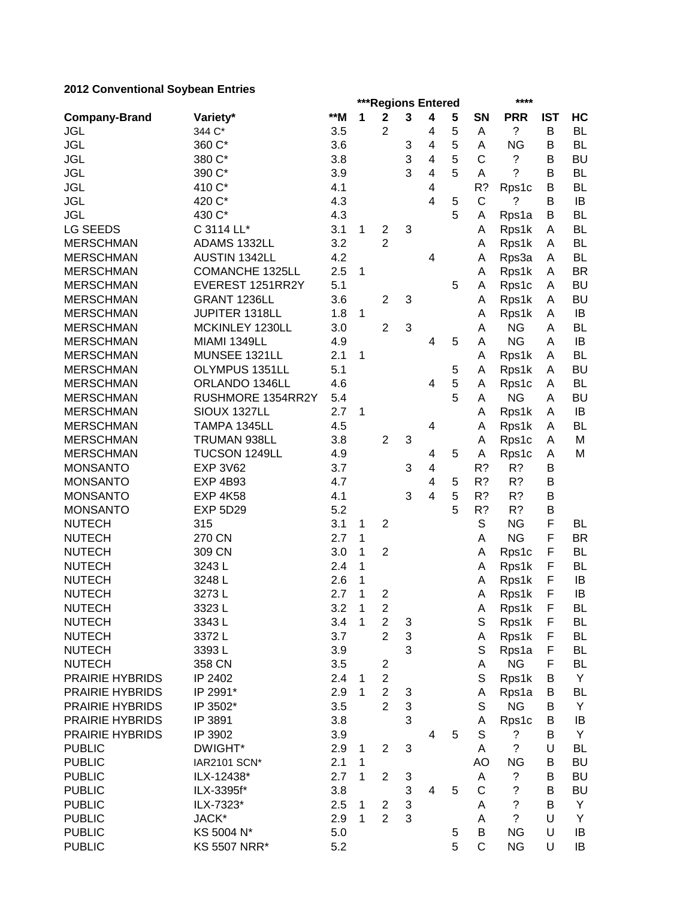# **2012 Conventional Soybean Entries**

|                        |                        |     |             | ***Regions Entered      |   |                         |   |              | ****        |            |           |
|------------------------|------------------------|-----|-------------|-------------------------|---|-------------------------|---|--------------|-------------|------------|-----------|
| <b>Company-Brand</b>   | Variety*               | **M | 1           | $\mathbf 2$             | 3 | 4                       | 5 | <b>SN</b>    | <b>PRR</b>  | <b>IST</b> | HC        |
| <b>JGL</b>             | 344 C*                 | 3.5 |             | $\overline{2}$          |   | 4                       | 5 | A            | ?           | B          | <b>BL</b> |
| <b>JGL</b>             | 360 C*                 | 3.6 |             |                         | 3 | 4                       | 5 | Α            | <b>NG</b>   | B          | <b>BL</b> |
| <b>JGL</b>             | 380 C*                 | 3.8 |             |                         | 3 | 4                       | 5 | C            | ?           | B          | <b>BU</b> |
| <b>JGL</b>             | 390 C*                 | 3.9 |             |                         | 3 | $\overline{\mathbf{4}}$ | 5 | Α            | ?           | B          | <b>BL</b> |
| <b>JGL</b>             | 410 C*                 | 4.1 |             |                         |   | 4                       |   | R?           | Rps1c       | B          | <b>BL</b> |
| <b>JGL</b>             | 420 C*                 | 4.3 |             |                         |   | $\overline{4}$          | 5 | $\mathsf{C}$ | ?           | B          | IB        |
| <b>JGL</b>             | 430 C*                 | 4.3 |             |                         |   |                         | 5 | A            | Rps1a       | B          | <b>BL</b> |
| <b>LG SEEDS</b>        | C 3114 LL*             | 3.1 | 1           | $\boldsymbol{2}$        | 3 |                         |   | A            | Rps1k       | Α          | <b>BL</b> |
| <b>MERSCHMAN</b>       | ADAMS 1332LL           | 3.2 |             | $\overline{2}$          |   |                         |   | A            | Rps1k       | A          | <b>BL</b> |
| <b>MERSCHMAN</b>       | AUSTIN 1342LL          | 4.2 |             |                         |   | 4                       |   | A            | Rps3a       | A          | <b>BL</b> |
| <b>MERSCHMAN</b>       | <b>COMANCHE 1325LL</b> | 2.5 | 1           |                         |   |                         |   | A            | Rps1k       | A          | <b>BR</b> |
| <b>MERSCHMAN</b>       | EVEREST 1251RR2Y       | 5.1 |             |                         |   |                         | 5 | A            | Rps1c       | Α          | <b>BU</b> |
| <b>MERSCHMAN</b>       | GRANT 1236LL           | 3.6 |             | $\overline{2}$          | 3 |                         |   | A            | Rps1k       | A          | <b>BU</b> |
| <b>MERSCHMAN</b>       | JUPITER 1318LL         | 1.8 | 1           |                         |   |                         |   | A            | Rps1k       | A          | IB        |
| <b>MERSCHMAN</b>       | MCKINLEY 1230LL        | 3.0 |             | $\overline{2}$          | 3 |                         |   | A            | <b>NG</b>   | A          | <b>BL</b> |
| <b>MERSCHMAN</b>       | MIAMI 1349LL           | 4.9 |             |                         |   | 4                       | 5 | A            | <b>NG</b>   | Α          | IB        |
| <b>MERSCHMAN</b>       | MUNSEE 1321LL          | 2.1 | 1           |                         |   |                         |   | A            | Rps1k       | A          | <b>BL</b> |
| <b>MERSCHMAN</b>       | OLYMPUS 1351LL         | 5.1 |             |                         |   |                         | 5 | A            | Rps1k       | Α          | <b>BU</b> |
| <b>MERSCHMAN</b>       | ORLANDO 1346LL         | 4.6 |             |                         |   | $\overline{4}$          | 5 | A            | Rps1c       | Α          | <b>BL</b> |
| <b>MERSCHMAN</b>       | RUSHMORE 1354RR2Y      | 5.4 |             |                         |   |                         | 5 | A            | <b>NG</b>   | A          | <b>BU</b> |
| <b>MERSCHMAN</b>       | SIOUX 1327LL           | 2.7 | 1           |                         |   |                         |   | A            | Rps1k       | A          | IB        |
| <b>MERSCHMAN</b>       | TAMPA 1345LL           | 4.5 |             |                         |   | $\overline{\mathbf{4}}$ |   | A            | Rps1k       | A          | <b>BL</b> |
| <b>MERSCHMAN</b>       | TRUMAN 938LL           | 3.8 |             | $\overline{2}$          | 3 |                         |   | A            | Rps1c       | A          | M         |
| <b>MERSCHMAN</b>       | TUCSON 1249LL          | 4.9 |             |                         |   | 4                       | 5 | A            | Rps1c       | Α          | M         |
| <b>MONSANTO</b>        | <b>EXP 3V62</b>        | 3.7 |             |                         | 3 | $\overline{\mathbf{4}}$ |   | R?           | R?          | Β          |           |
| <b>MONSANTO</b>        | <b>EXP 4B93</b>        | 4.7 |             |                         |   | $\overline{4}$          | 5 | R?           | R?          | B          |           |
| <b>MONSANTO</b>        | <b>EXP 4K58</b>        | 4.1 |             |                         | 3 | $\overline{4}$          | 5 | R?           | R?          | B          |           |
| <b>MONSANTO</b>        | <b>EXP 5D29</b>        | 5.2 |             |                         |   |                         | 5 | R?           | R?          | В          |           |
| <b>NUTECH</b>          | 315                    | 3.1 | 1           | $\overline{2}$          |   |                         |   | S            | <b>NG</b>   | F          | <b>BL</b> |
| <b>NUTECH</b>          | 270 CN                 | 2.7 | 1           |                         |   |                         |   | A            | <b>NG</b>   | F          | <b>BR</b> |
| <b>NUTECH</b>          | 309 CN                 | 3.0 | 1           | $\overline{2}$          |   |                         |   | A            | Rps1c       | F          | <b>BL</b> |
| <b>NUTECH</b>          | 3243L                  | 2.4 | 1           |                         |   |                         |   | A            | Rps1k       | F          | <b>BL</b> |
| <b>NUTECH</b>          | 3248L                  | 2.6 | 1           |                         |   |                         |   | A            | Rps1k       | F          | IB        |
| <b>NUTECH</b>          | 3273L                  | 2.7 | 1           | $\overline{2}$          |   |                         |   | Α            | Rps1k       | F          | IB        |
| <b>NUTECH</b>          | 3323L                  | 3.2 | $\mathbf 1$ | $\overline{\mathbf{c}}$ |   |                         |   | A            | Rps1k       | F          | <b>BL</b> |
| <b>NUTECH</b>          | 3343L                  | 3.4 | 1           | $\overline{2}$          | 3 |                         |   | $\mathbb S$  | Rps1k       | F          | BL        |
| <b>NUTECH</b>          | 3372L                  | 3.7 |             | $\overline{2}$          | 3 |                         |   | A            | Rps1k       | F          | <b>BL</b> |
| <b>NUTECH</b>          | 3393L                  | 3.9 |             |                         | 3 |                         |   | S            | Rps1a       | F          | <b>BL</b> |
| <b>NUTECH</b>          | 358 CN                 | 3.5 |             | $\overline{c}$          |   |                         |   | Α            | <b>NG</b>   | F          | BL        |
| PRAIRIE HYBRIDS        | IP 2402                | 2.4 | 1           | $\overline{c}$          |   |                         |   | S            | Rps1k       | B          | Y         |
| PRAIRIE HYBRIDS        | IP 2991*               | 2.9 | 1           | $\overline{c}$          | 3 |                         |   | Α            | Rps1a       | В          | BL        |
| PRAIRIE HYBRIDS        | IP 3502*               | 3.5 |             | $\overline{2}$          | 3 |                         |   | S            | <b>NG</b>   | В          | Y         |
| <b>PRAIRIE HYBRIDS</b> | IP 3891                | 3.8 |             |                         | 3 |                         |   | Α            | Rps1c       | В          | IB        |
| <b>PRAIRIE HYBRIDS</b> | IP 3902                | 3.9 |             |                         |   | $\overline{4}$          | 5 | S            | ?           | B          | Y         |
| <b>PUBLIC</b>          | DWIGHT*                | 2.9 | 1           | $\overline{2}$          | 3 |                         |   | A            | $\tilde{?}$ | U          | <b>BL</b> |
| <b>PUBLIC</b>          | IAR2101 SCN*           | 2.1 | 1           |                         |   |                         |   | AO           | <b>NG</b>   | B          | BU        |
| <b>PUBLIC</b>          | ILX-12438*             | 2.7 | 1           | $\overline{2}$          | 3 |                         |   | Α            | ?           | В          | <b>BU</b> |
| <b>PUBLIC</b>          | ILX-3395f*             | 3.8 |             |                         | 3 | $\overline{4}$          | 5 | C            | $\tilde{?}$ | B          | <b>BU</b> |
| <b>PUBLIC</b>          | ILX-7323*              | 2.5 | 1           | $\overline{\mathbf{c}}$ | 3 |                         |   | A            | $\tilde{?}$ | B          | Y         |
| <b>PUBLIC</b>          | JACK*                  | 2.9 | 1           | $\overline{2}$          | 3 |                         |   | A            | $\tilde{?}$ | U          | Y         |
| <b>PUBLIC</b>          | KS 5004 N*             | 5.0 |             |                         |   |                         | 5 | B            | <b>NG</b>   | U          | IB        |
| <b>PUBLIC</b>          | <b>KS 5507 NRR*</b>    | 5.2 |             |                         |   |                         | 5 | $\mathsf C$  | <b>NG</b>   | U          | IB        |